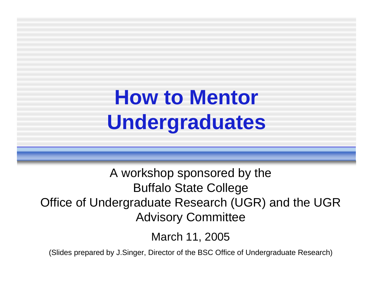### **How to Mentor Undergraduates**

A workshop sponsored by the Buffalo State College Office of Undergraduate Research (UGR) and the UGR Advisory Committee

March 11, 2005

(Slides prepared by J.Singer, Director of the BSC Office of Undergraduate Research)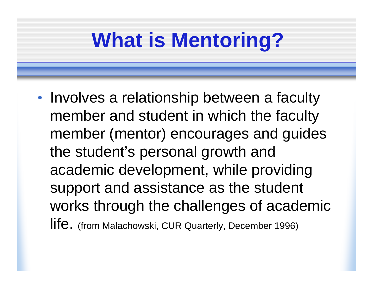## **What is Mentoring?**

•• Involves a relationship between a faculty member and student in which the faculty member (mentor) encourages and guides the student's personal growth and academic development, while providing support and assistance as the student works through the challenges of academic life. (from Malachowski, CUR Quarterly, December 1996)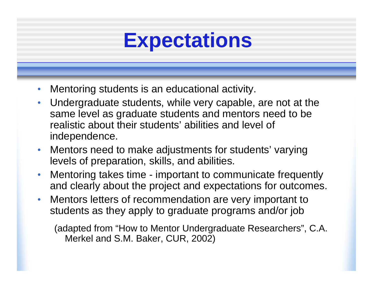#### **Expectations**

- $\bullet$ Mentoring students is an educational activity.
- • Undergraduate students, while very capable, are not at the same level as graduate students and mentors need to be realistic about their students' abilities and level of independence.
- Mentors need to make adjustments for students' varying levels of preparation, skills, and abilities.
- • Mentoring takes time - important to communicate frequently and clearly about the project and expectations for outcomes.
- • Mentors letters of recommendation are very important to students as they apply to graduate programs and/or job

(adapted from "How to Mentor Undergraduate Researchers", C.A. Merkel and S.M. Baker, CUR, 2002)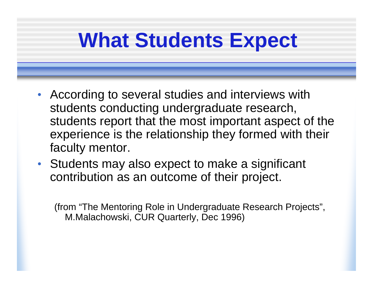#### **What Students Expect**

- According to several studies and interviews with students conducting undergraduate research, students report that the most important aspect of the experience is the relationship they formed with their faculty mentor.
- Students may also expect to make a significant contribution as an outcome of their project.

(from "The Mentoring Role in Undergraduate Research Projects", M.Malachowski, CUR Quarterly, Dec 1996)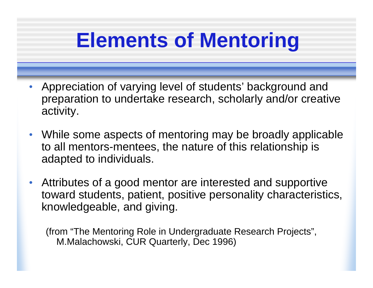#### **Elements of Mentoring**

- Appreciation of varying level of students' background and preparation to undertake research, scholarly and/or creative activity.
- While some aspects of mentoring may be broadly applicable to all mentors-mentees, the nature of this relationship is adapted to individuals.
- • Attributes of a good mentor are interested and supportive toward students, patient, positive personality characteristics, knowledgeable, and giving.

(from "The Mentoring Role in Undergraduate Research Projects", M.Malachowski, CUR Quarterly, Dec 1996)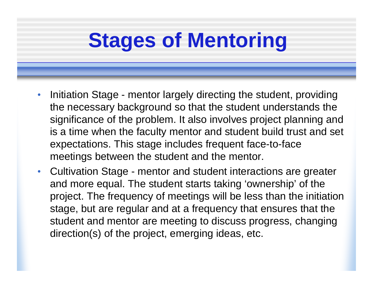## **Stages of Mentoring**

- $\bullet$  Initiation Stage - mentor largely directing the student, providing the necessary background so that the student understands the significance of the problem. It also involves project planning and is a time when the faculty mentor and student build trust and set expectations. This stage includes frequent face-to-face meetings between the student and the mentor.
- Cultivation Stage mentor and student interactions are greater and more equal. The student starts taking 'ownership' of the project. The frequency of meetings will be less than the initiation stage, but are regular and at a frequency that ensures that the student and mentor are meeting to discuss progress, changing direction(s) of the project, emerging ideas, etc.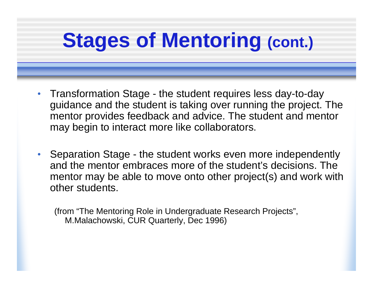# **Stages of Mentoring (cont.)**

- Transformation Stage the student requires less day-to-day guidance and the student is taking over running the project. The mentor provides feedback and advice. The student and mentor may begin to interact more like collaborators.
- $\bullet$  Separation Stage - the student works even more independently and the mentor embraces more of the student's decisions. The mentor may be able to move onto other project(s) and work with other students.

(from "The Mentoring Role in Undergraduate Research Projects", M.Malachowski, CUR Quarterly, Dec 1996)